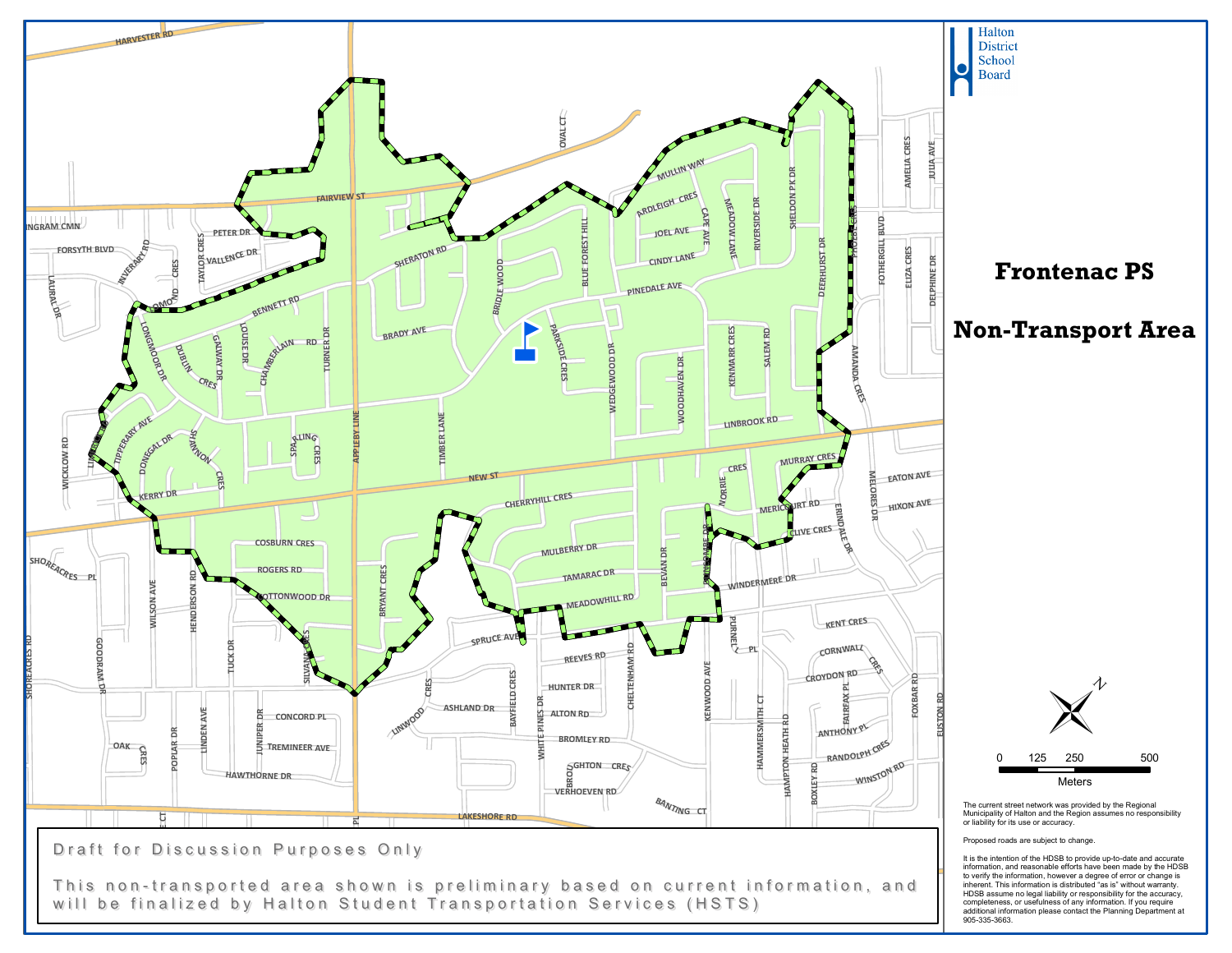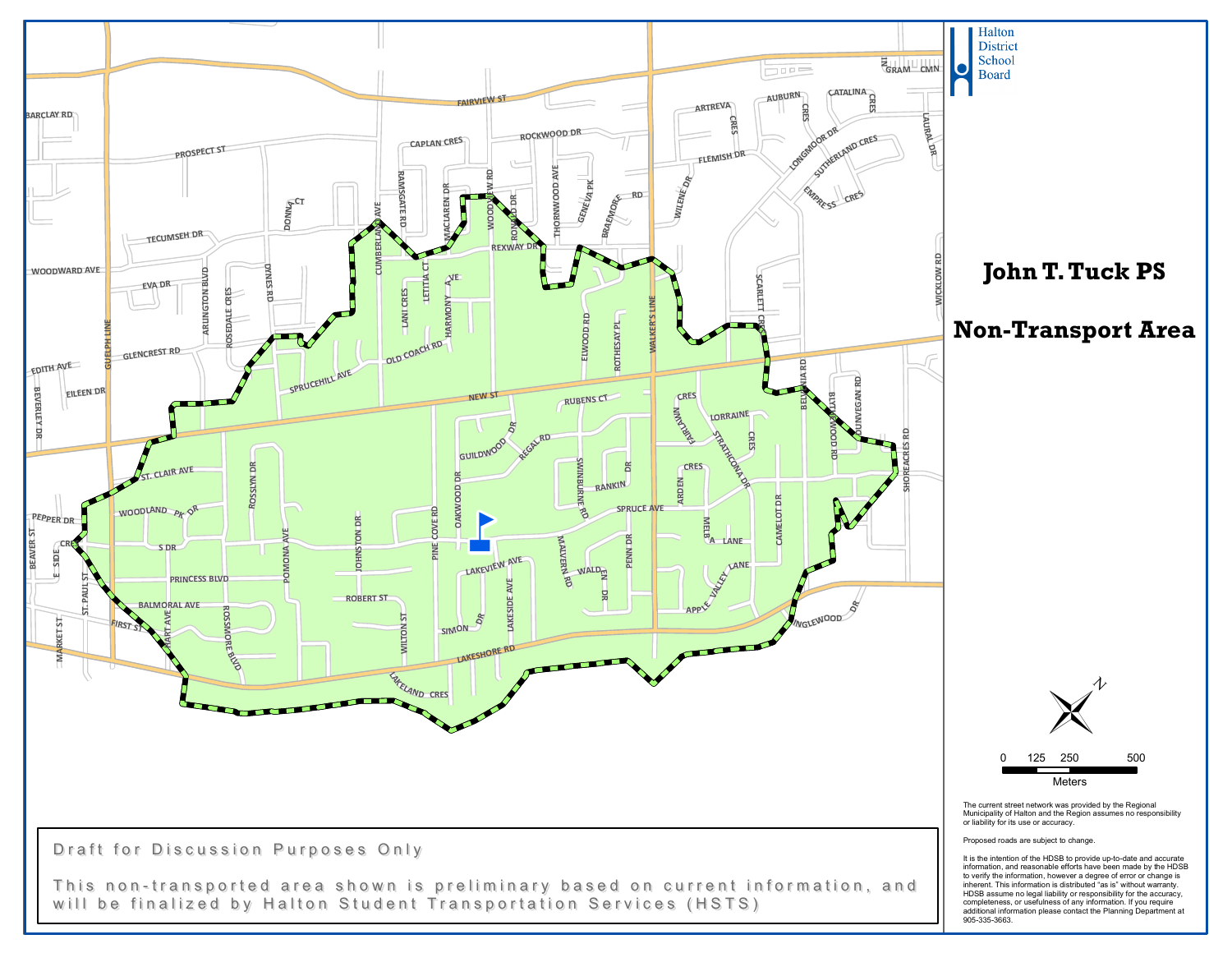

completeness, or usefulness of any information. If you require additional information please contact the Planning Department at 905-335-3663.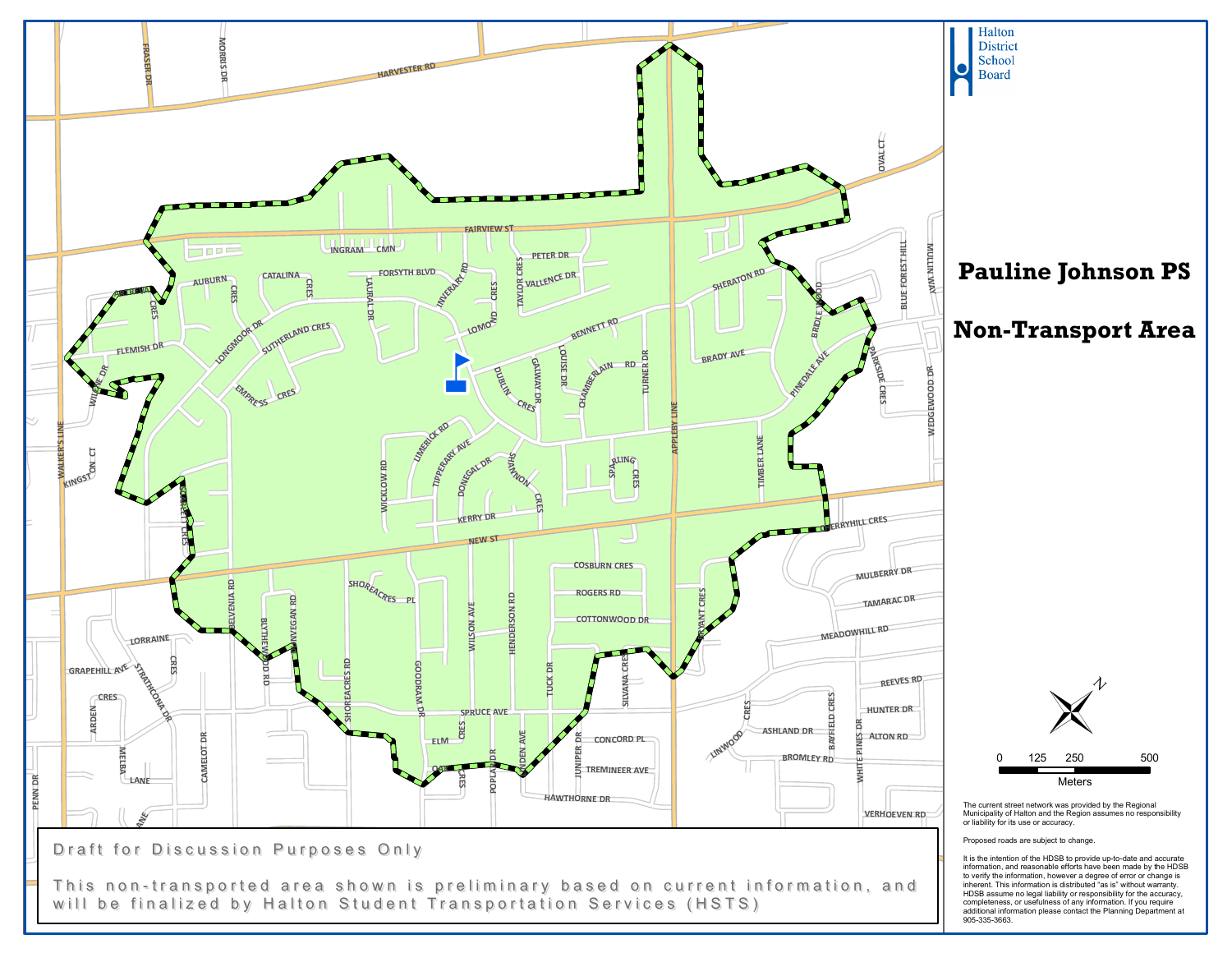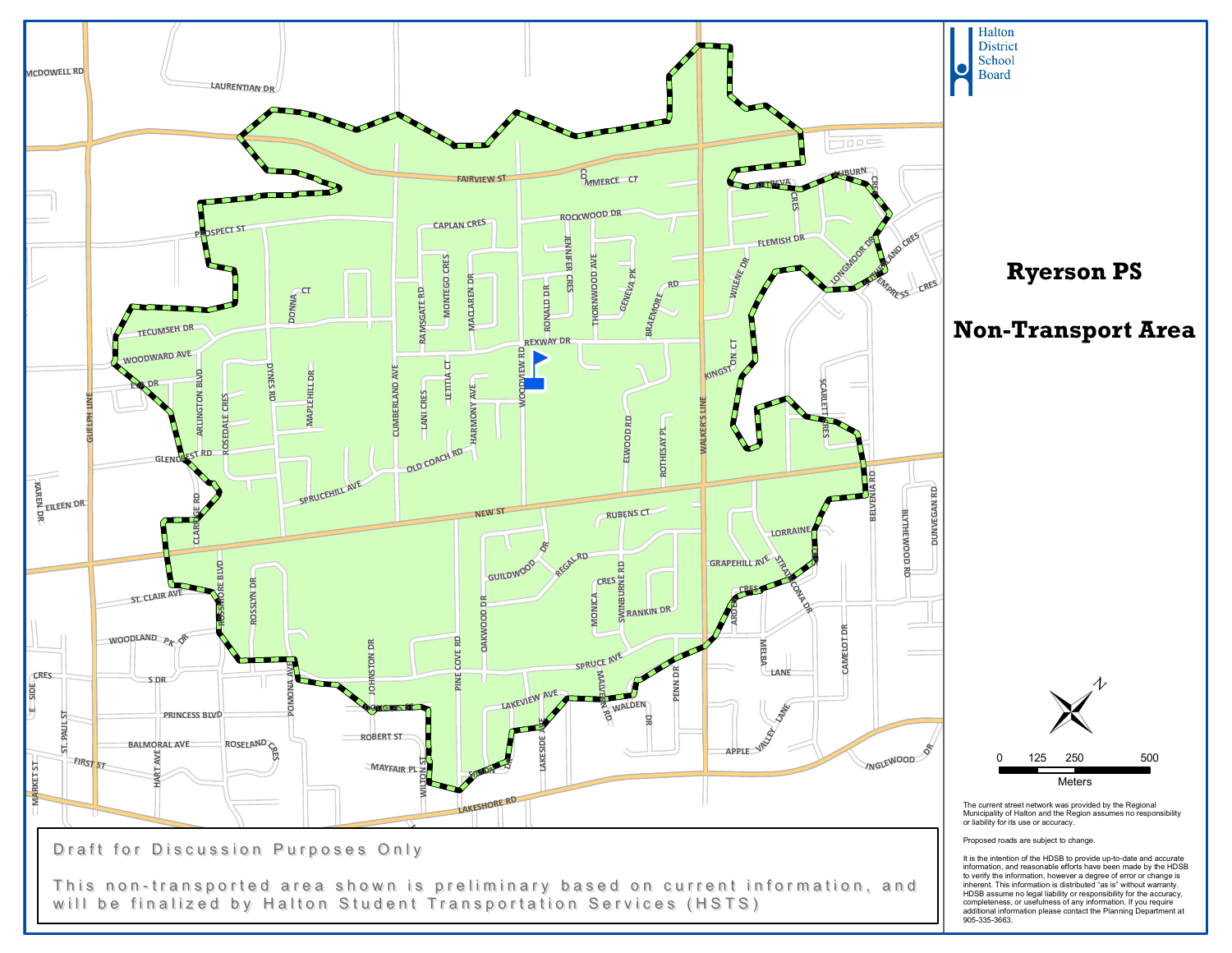